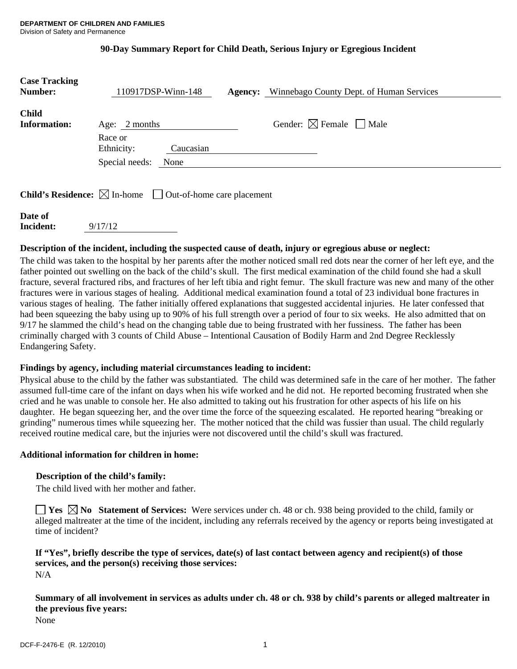## **90-Day Summary Report for Child Death, Serious Injury or Egregious Incident**

| <b>Case Tracking</b><br><b>Number:</b> | 110917DSP-Winn-148<br><b>Agency:</b> Winnebago County Dept. of Human Services   |  |
|----------------------------------------|---------------------------------------------------------------------------------|--|
| <b>Child</b><br><b>Information:</b>    | Gender: $\boxtimes$ Female $\Box$ Male<br>Age: 2 months                         |  |
|                                        | Race or<br>Ethnicity:<br>Caucasian                                              |  |
|                                        | Special needs:<br>None                                                          |  |
|                                        | <b>Child's Residence:</b> $\boxtimes$ In-home $\Box$ Out-of-home care placement |  |

| Date of   |         |
|-----------|---------|
| Incident: | 9/17/12 |
|           |         |

## **Description of the incident, including the suspected cause of death, injury or egregious abuse or neglect:**

The child was taken to the hospital by her parents after the mother noticed small red dots near the corner of her left eye, and the father pointed out swelling on the back of the child's skull. The first medical examination of the child found she had a skull fracture, several fractured ribs, and fractures of her left tibia and right femur. The skull fracture was new and many of the other fractures were in various stages of healing. Additional medical examination found a total of 23 individual bone fractures in various stages of healing. The father initially offered explanations that suggested accidental injuries. He later confessed that had been squeezing the baby using up to 90% of his full strength over a period of four to six weeks. He also admitted that on 9/17 he slammed the child's head on the changing table due to being frustrated with her fussiness. The father has been criminally charged with 3 counts of Child Abuse – Intentional Causation of Bodily Harm and 2nd Degree Recklessly Endangering Safety.

## **Findings by agency, including material circumstances leading to incident:**

Physical abuse to the child by the father was substantiated. The child was determined safe in the care of her mother. The father assumed full-time care of the infant on days when his wife worked and he did not. He reported becoming frustrated when she cried and he was unable to console her. He also admitted to taking out his frustration for other aspects of his life on his daughter. He began squeezing her, and the over time the force of the squeezing escalated. He reported hearing "breaking or grinding" numerous times while squeezing her. The mother noticed that the child was fussier than usual. The child regularly received routine medical care, but the injuries were not discovered until the child's skull was fractured.

## **Additional information for children in home:**

## **Description of the child's family:**

The child lived with her mother and father.

**Yes**  $\boxtimes$  **No Statement of Services:** Were services under ch. 48 or ch. 938 being provided to the child, family or alleged maltreater at the time of the incident, including any referrals received by the agency or reports being investigated at time of incident?

#### **If "Yes", briefly describe the type of services, date(s) of last contact between agency and recipient(s) of those services, and the person(s) receiving those services:**  N/A

**Summary of all involvement in services as adults under ch. 48 or ch. 938 by child's parents or alleged maltreater in the previous five years:** 

None